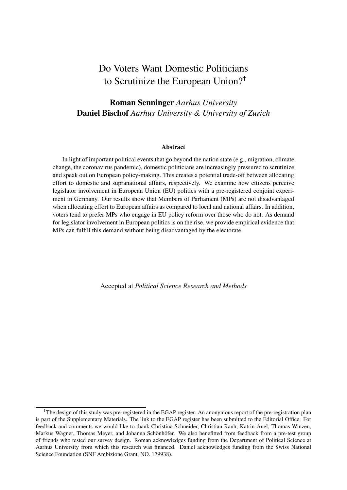# Do Voters Want Domestic Politicians to Scrutinize the European Union?†

#### Roman Senninger *Aarhus University* Daniel Bischof *Aarhus University & University of Zurich*

#### Abstract

In light of important political events that go beyond the nation state (e.g., migration, climate change, the coronavirus pandemic), domestic politicians are increasingly pressured to scrutinize and speak out on European policy-making. This creates a potential trade-off between allocating effort to domestic and supranational affairs, respectively. We examine how citizens perceive legislator involvement in European Union (EU) politics with a pre-registered conjoint experiment in Germany. Our results show that Members of Parliament (MPs) are not disadvantaged when allocating effort to European affairs as compared to local and national affairs. In addition, voters tend to prefer MPs who engage in EU policy reform over those who do not. As demand for legislator involvement in European politics is on the rise, we provide empirical evidence that MPs can fulfill this demand without being disadvantaged by the electorate.

Accepted at *Political Science Research and Methods*

<sup>†</sup>The design of this study was pre-registered in the EGAP register. An anonymous report of the pre-registration plan is part of the Supplementary Materials. The link to the EGAP register has been submitted to the Editorial Office. For feedback and comments we would like to thank Christina Schneider, Christian Rauh, Katrin Auel, Thomas Winzen, Markus Wagner, Thomas Meyer, and Johanna Schönhöfer. We also benefitted from feedback from a pre-test group of friends who tested our survey design. Roman acknowledges funding from the Department of Political Science at Aarhus University from which this research was financed. Daniel acknowledges funding from the Swiss National Science Foundation (SNF Ambizione Grant, NO. 179938).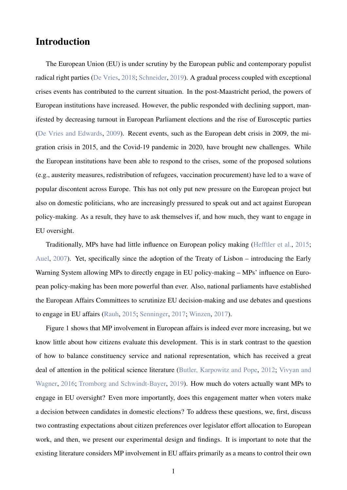### Introduction

The European Union (EU) is under scrutiny by the European public and contemporary populist radical right parties [\(De Vries,](#page-12-0) [2018;](#page-12-0) [Schneider,](#page-13-0) [2019\)](#page-13-0). A gradual process coupled with exceptional crises events has contributed to the current situation. In the post-Maastricht period, the powers of European institutions have increased. However, the public responded with declining support, manifested by decreasing turnout in European Parliament elections and the rise of Eurosceptic parties [\(De Vries and Edwards,](#page-12-1) [2009\)](#page-12-1). Recent events, such as the European debt crisis in 2009, the migration crisis in 2015, and the Covid-19 pandemic in 2020, have brought new challenges. While the European institutions have been able to respond to the crises, some of the proposed solutions (e.g., austerity measures, redistribution of refugees, vaccination procurement) have led to a wave of popular discontent across Europe. This has not only put new pressure on the European project but also on domestic politicians, who are increasingly pressured to speak out and act against European policy-making. As a result, they have to ask themselves if, and how much, they want to engage in EU oversight.

Traditionally, MPs have had little influence on European policy making [\(Hefftler et al.,](#page-12-2) [2015;](#page-12-2) [Auel,](#page-12-3) [2007\)](#page-12-3). Yet, specifically since the adoption of the Treaty of Lisbon – introducing the Early Warning System allowing MPs to directly engage in EU policy-making – MPs' influence on European policy-making has been more powerful than ever. Also, national parliaments have established the European Affairs Committees to scrutinize EU decision-making and use debates and questions to engage in EU affairs [\(Rauh,](#page-12-4) [2015;](#page-12-4) [Senninger,](#page-13-1) [2017;](#page-13-1) [Winzen,](#page-13-2) [2017\)](#page-13-2).

Figure 1 shows that MP involvement in European affairs is indeed ever more increasing, but we know little about how citizens evaluate this development. This is in stark contrast to the question of how to balance constituency service and national representation, which has received a great deal of attention in the political science literature [\(Butler, Karpowitz and Pope,](#page-12-5) [2012;](#page-12-5) [Vivyan and](#page-13-3) [Wagner,](#page-13-3) [2016;](#page-13-3) [Tromborg and Schwindt-Bayer,](#page-13-4) [2019\)](#page-13-4). How much do voters actually want MPs to engage in EU oversight? Even more importantly, does this engagement matter when voters make a decision between candidates in domestic elections? To address these questions, we, first, discuss two contrasting expectations about citizen preferences over legislator effort allocation to European work, and then, we present our experimental design and findings. It is important to note that the existing literature considers MP involvement in EU affairs primarily as a means to control their own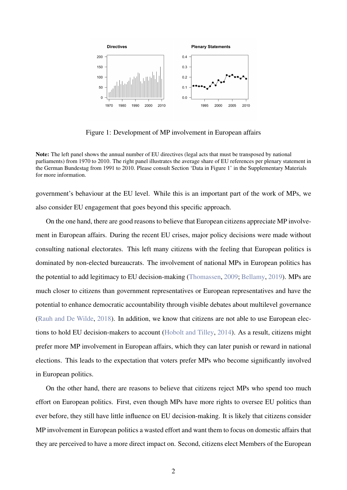

Figure 1: Development of MP involvement in European affairs

Note: The left panel shows the annual number of EU directives (legal acts that must be transposed by national parliaments) from 1970 to 2010. The right panel illustrates the average share of EU references per plenary statement in the German Bundestag from 1991 to 2010. Please consult Section 'Data in Figure 1' in the Supplementary Materials for more information.

government's behaviour at the EU level. While this is an important part of the work of MPs, we also consider EU engagement that goes beyond this specific approach.

On the one hand, there are good reasons to believe that European citizens appreciate MP involvement in European affairs. During the recent EU crises, major policy decisions were made without consulting national electorates. This left many citizens with the feeling that European politics is dominated by non-elected bureaucrats. The involvement of national MPs in European politics has the potential to add legitimacy to EU decision-making [\(Thomassen,](#page-13-5) [2009;](#page-13-5) [Bellamy,](#page-12-6) [2019\)](#page-12-6). MPs are much closer to citizens than government representatives or European representatives and have the potential to enhance democratic accountability through visible debates about multilevel governance [\(Rauh and De Wilde,](#page-13-6) [2018\)](#page-13-6). In addition, we know that citizens are not able to use European elections to hold EU decision-makers to account [\(Hobolt and Tilley,](#page-12-7) [2014\)](#page-12-7). As a result, citizens might prefer more MP involvement in European affairs, which they can later punish or reward in national elections. This leads to the expectation that voters prefer MPs who become significantly involved in European politics.

On the other hand, there are reasons to believe that citizens reject MPs who spend too much effort on European politics. First, even though MPs have more rights to oversee EU politics than ever before, they still have little influence on EU decision-making. It is likely that citizens consider MP involvement in European politics a wasted effort and want them to focus on domestic affairs that they are perceived to have a more direct impact on. Second, citizens elect Members of the European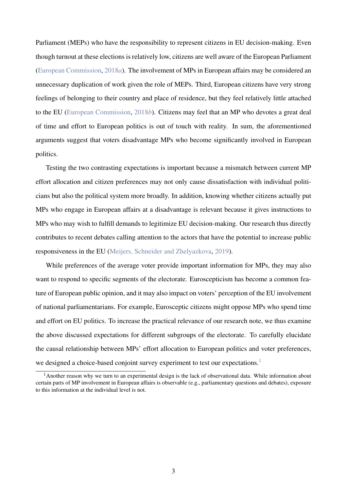Parliament (MEPs) who have the responsibility to represent citizens in EU decision-making. Even though turnout at these elections is relatively low, citizens are well aware of the European Parliament [\(European Commission,](#page-12-8) [2018](#page-12-8)*a*). The involvement of MPs in European affairs may be considered an unnecessary duplication of work given the role of MEPs. Third, European citizens have very strong feelings of belonging to their country and place of residence, but they feel relatively little attached to the EU [\(European Commission,](#page-12-9) [2018](#page-12-9)*b*). Citizens may feel that an MP who devotes a great deal of time and effort to European politics is out of touch with reality. In sum, the aforementioned arguments suggest that voters disadvantage MPs who become significantly involved in European politics.

Testing the two contrasting expectations is important because a mismatch between current MP effort allocation and citizen preferences may not only cause dissatisfaction with individual politicians but also the political system more broadly. In addition, knowing whether citizens actually put MPs who engage in European affairs at a disadvantage is relevant because it gives instructions to MPs who may wish to fulfill demands to legitimize EU decision-making. Our research thus directly contributes to recent debates calling attention to the actors that have the potential to increase public responsiveness in the EU [\(Meijers, Schneider and Zhelyazkova,](#page-12-10) [2019\)](#page-12-10).

While preferences of the average voter provide important information for MPs, they may also want to respond to specific segments of the electorate. Euroscepticism has become a common feature of European public opinion, and it may also impact on voters' perception of the EU involvement of national parliamentarians. For example, Eurosceptic citizens might oppose MPs who spend time and effort on EU politics. To increase the practical relevance of our research note, we thus examine the above discussed expectations for different subgroups of the electorate. To carefully elucidate the causal relationship between MPs' effort allocation to European politics and voter preferences, we designed a choice-based conjoint survey experiment to test our expectations.<sup>[1](#page-3-0)</sup>

<span id="page-3-0"></span><sup>&</sup>lt;sup>1</sup>Another reason why we turn to an experimental design is the lack of observational data. While information about certain parts of MP involvement in European affairs is observable (e.g., parliamentary questions and debates), exposure to this information at the individual level is not.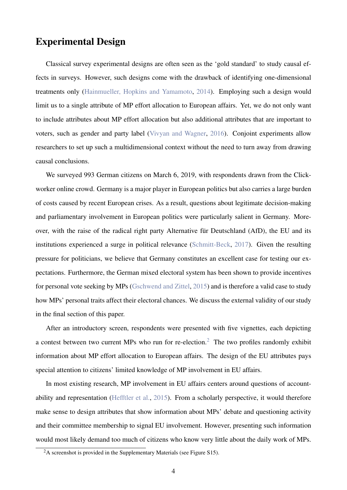#### Experimental Design

Classical survey experimental designs are often seen as the 'gold standard' to study causal effects in surveys. However, such designs come with the drawback of identifying one-dimensional treatments only [\(Hainmueller, Hopkins and Yamamoto,](#page-12-11) [2014\)](#page-12-11). Employing such a design would limit us to a single attribute of MP effort allocation to European affairs. Yet, we do not only want to include attributes about MP effort allocation but also additional attributes that are important to voters, such as gender and party label [\(Vivyan and Wagner,](#page-13-3) [2016\)](#page-13-3). Conjoint experiments allow researchers to set up such a multidimensional context without the need to turn away from drawing causal conclusions.

We surveyed 993 German citizens on March 6, 2019, with respondents drawn from the Clickworker online crowd. Germany is a major player in European politics but also carries a large burden of costs caused by recent European crises. As a result, questions about legitimate decision-making and parliamentary involvement in European politics were particularly salient in Germany. Moreover, with the raise of the radical right party Alternative für Deutschland (AfD), the EU and its institutions experienced a surge in political relevance [\(Schmitt-Beck,](#page-13-7) [2017\)](#page-13-7). Given the resulting pressure for politicians, we believe that Germany constitutes an excellent case for testing our expectations. Furthermore, the German mixed electoral system has been shown to provide incentives for personal vote seeking by MPs [\(Gschwend and Zittel,](#page-12-12) [2015\)](#page-12-12) and is therefore a valid case to study how MPs' personal traits affect their electoral chances. We discuss the external validity of our study in the final section of this paper.

After an introductory screen, respondents were presented with five vignettes, each depicting a contest between two current MPs who run for re-election.<sup>[2](#page-4-0)</sup> The two profiles randomly exhibit information about MP effort allocation to European affairs. The design of the EU attributes pays special attention to citizens' limited knowledge of MP involvement in EU affairs.

In most existing research, MP involvement in EU affairs centers around questions of accountability and representation [\(Hefftler et al.,](#page-12-2) [2015\)](#page-12-2). From a scholarly perspective, it would therefore make sense to design attributes that show information about MPs' debate and questioning activity and their committee membership to signal EU involvement. However, presenting such information would most likely demand too much of citizens who know very little about the daily work of MPs.

<span id="page-4-0"></span><sup>&</sup>lt;sup>2</sup>A screenshot is provided in the Supplementary Materials (see Figure S15).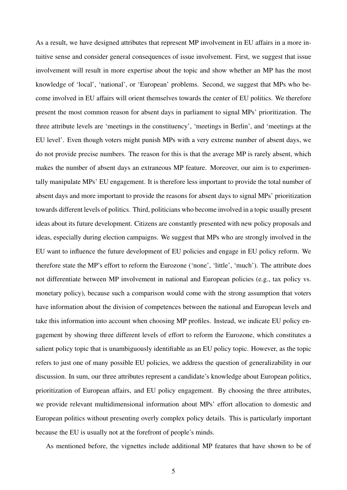As a result, we have designed attributes that represent MP involvement in EU affairs in a more intuitive sense and consider general consequences of issue involvement. First, we suggest that issue involvement will result in more expertise about the topic and show whether an MP has the most knowledge of 'local', 'national', or 'European' problems. Second, we suggest that MPs who become involved in EU affairs will orient themselves towards the center of EU politics. We therefore present the most common reason for absent days in parliament to signal MPs' prioritization. The three attribute levels are 'meetings in the constituency', 'meetings in Berlin', and 'meetings at the EU level'. Even though voters might punish MPs with a very extreme number of absent days, we do not provide precise numbers. The reason for this is that the average MP is rarely absent, which makes the number of absent days an extraneous MP feature. Moreover, our aim is to experimentally manipulate MPs' EU engagement. It is therefore less important to provide the total number of absent days and more important to provide the reasons for absent days to signal MPs' prioritization towards different levels of politics. Third, politicians who become involved in a topic usually present ideas about its future development. Citizens are constantly presented with new policy proposals and ideas, especially during election campaigns. We suggest that MPs who are strongly involved in the EU want to influence the future development of EU policies and engage in EU policy reform. We therefore state the MP's effort to reform the Eurozone ('none', 'little', 'much'). The attribute does not differentiate between MP involvement in national and European policies (e.g., tax policy vs. monetary policy), because such a comparison would come with the strong assumption that voters have information about the division of competences between the national and European levels and take this information into account when choosing MP profiles. Instead, we indicate EU policy engagement by showing three different levels of effort to reform the Eurozone, which constitutes a salient policy topic that is unambiguously identifiable as an EU policy topic. However, as the topic refers to just one of many possible EU policies, we address the question of generalizability in our discussion. In sum, our three attributes represent a candidate's knowledge about European politics, prioritization of European affairs, and EU policy engagement. By choosing the three attributes, we provide relevant multidimensional information about MPs' effort allocation to domestic and European politics without presenting overly complex policy details. This is particularly important because the EU is usually not at the forefront of people's minds.

As mentioned before, the vignettes include additional MP features that have shown to be of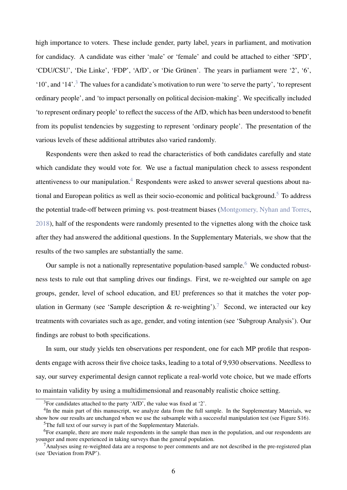high importance to voters. These include gender, party label, years in parliament, and motivation for candidacy. A candidate was either 'male' or 'female' and could be attached to either 'SPD', 'CDU/CSU', 'Die Linke', 'FDP', 'AfD', or 'Die Grünen'. The years in parliament were '2', '6', '10', and '14'.[3](#page-6-0) The values for a candidate's motivation to run were 'to serve the party', 'to represent ordinary people', and 'to impact personally on political decision-making'. We specifically included 'to represent ordinary people' to reflect the success of the AfD, which has been understood to benefit from its populist tendencies by suggesting to represent 'ordinary people'. The presentation of the various levels of these additional attributes also varied randomly.

Respondents were then asked to read the characteristics of both candidates carefully and state which candidate they would vote for. We use a factual manipulation check to assess respondent attentiveness to our manipulation.<sup>[4](#page-6-1)</sup> Respondents were asked to answer several questions about na-tional and European politics as well as their socio-economic and political background.<sup>[5](#page-6-2)</sup> To address the potential trade-off between priming vs. post-treatment biases [\(Montgomery, Nyhan and Torres,](#page-12-13) [2018\)](#page-12-13), half of the respondents were randomly presented to the vignettes along with the choice task after they had answered the additional questions. In the Supplementary Materials, we show that the results of the two samples are substantially the same.

Our sample is not a nationally representative population-based sample.<sup>[6](#page-6-3)</sup> We conducted robustness tests to rule out that sampling drives our findings. First, we re-weighted our sample on age groups, gender, level of school education, and EU preferences so that it matches the voter pop-ulation in Germany (see 'Sample description & re-weighting').<sup>[7](#page-6-4)</sup> Second, we interacted our key treatments with covariates such as age, gender, and voting intention (see 'Subgroup Analysis'). Our findings are robust to both specifications.

In sum, our study yields ten observations per respondent, one for each MP profile that respondents engage with across their five choice tasks, leading to a total of 9,930 observations. Needless to say, our survey experimental design cannot replicate a real-world vote choice, but we made efforts to maintain validity by using a multidimensional and reasonably realistic choice setting.

<span id="page-6-1"></span><span id="page-6-0"></span><sup>3</sup>For candidates attached to the party 'AfD', the value was fixed at '2'.

<sup>&</sup>lt;sup>4</sup>In the main part of this manuscript, we analyze data from the full sample. In the Supplementary Materials, we show how our results are unchanged when we use the subsample with a successful manipulation test (see Figure S16). <sup>5</sup>The full text of our survey is part of the Supplementary Materials.

<span id="page-6-3"></span><span id="page-6-2"></span>

<sup>&</sup>lt;sup>6</sup>For example, there are more male respondents in the sample than men in the population, and our respondents are younger and more experienced in taking surveys than the general population.

<span id="page-6-4"></span> $<sup>7</sup>$ Analyses using re-weighted data are a response to peer comments and are not described in the pre-registered plan</sup> (see 'Deviation from PAP').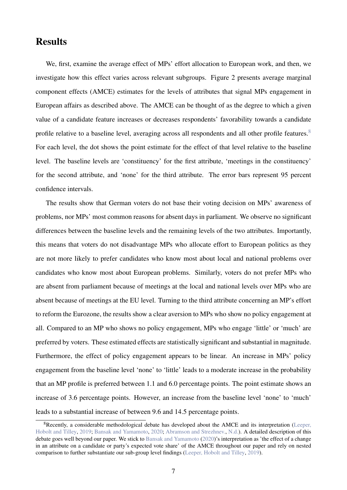#### **Results**

We, first, examine the average effect of MPs' effort allocation to European work, and then, we investigate how this effect varies across relevant subgroups. Figure 2 presents average marginal component effects (AMCE) estimates for the levels of attributes that signal MPs engagement in European affairs as described above. The AMCE can be thought of as the degree to which a given value of a candidate feature increases or decreases respondents' favorability towards a candidate profile relative to a baseline level, averaging across all respondents and all other profile features.<sup>[8](#page-7-0)</sup> For each level, the dot shows the point estimate for the effect of that level relative to the baseline level. The baseline levels are 'constituency' for the first attribute, 'meetings in the constituency' for the second attribute, and 'none' for the third attribute. The error bars represent 95 percent confidence intervals.

The results show that German voters do not base their voting decision on MPs' awareness of problems, nor MPs' most common reasons for absent days in parliament. We observe no significant differences between the baseline levels and the remaining levels of the two attributes. Importantly, this means that voters do not disadvantage MPs who allocate effort to European politics as they are not more likely to prefer candidates who know most about local and national problems over candidates who know most about European problems. Similarly, voters do not prefer MPs who are absent from parliament because of meetings at the local and national levels over MPs who are absent because of meetings at the EU level. Turning to the third attribute concerning an MP's effort to reform the Eurozone, the results show a clear aversion to MPs who show no policy engagement at all. Compared to an MP who shows no policy engagement, MPs who engage 'little' or 'much' are preferred by voters. These estimated effects are statistically significant and substantial in magnitude. Furthermore, the effect of policy engagement appears to be linear. An increase in MPs' policy engagement from the baseline level 'none' to 'little' leads to a moderate increase in the probability that an MP profile is preferred between 1.1 and 6.0 percentage points. The point estimate shows an increase of 3.6 percentage points. However, an increase from the baseline level 'none' to 'much' leads to a substantial increase of between 9.6 and 14.5 percentage points.

<span id="page-7-0"></span> $8$ Recently, a considerable methodological debate has developed about the AMCE and its interpretation [\(Leeper,](#page-12-14) [Hobolt and Tilley,](#page-12-14) [2019;](#page-12-14) [Bansak and Yamamoto,](#page-12-15) [2020;](#page-12-15) [Abramson and Strezhnev.,](#page-12-16) [N.d.\)](#page-12-16). A detailed description of this debate goes well beyond our paper. We stick to [Bansak and Yamamoto](#page-12-15) [\(2020\)](#page-12-15)'s interpretation as 'the effect of a change in an attribute on a candidate or party's expected vote share' of the AMCE throughout our paper and rely on nested comparison to further substantiate our sub-group level findings [\(Leeper, Hobolt and Tilley,](#page-12-14) [2019\)](#page-12-14).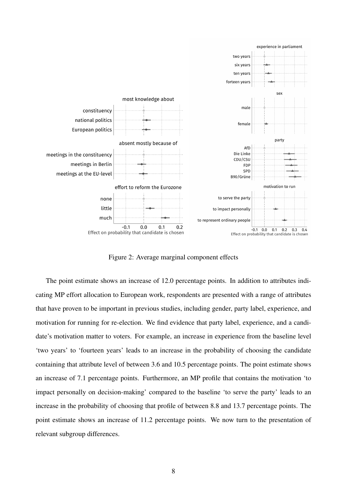

Figure 2: Average marginal component effects

The point estimate shows an increase of 12.0 percentage points. In addition to attributes indicating MP effort allocation to European work, respondents are presented with a range of attributes that have proven to be important in previous studies, including gender, party label, experience, and motivation for running for re-election. We find evidence that party label, experience, and a candidate's motivation matter to voters. For example, an increase in experience from the baseline level 'two years' to 'fourteen years' leads to an increase in the probability of choosing the candidate containing that attribute level of between 3.6 and 10.5 percentage points. The point estimate shows an increase of 7.1 percentage points. Furthermore, an MP profile that contains the motivation 'to impact personally on decision-making' compared to the baseline 'to serve the party' leads to an increase in the probability of choosing that profile of between 8.8 and 13.7 percentage points. The point estimate shows an increase of 11.2 percentage points. We now turn to the presentation of relevant subgroup differences.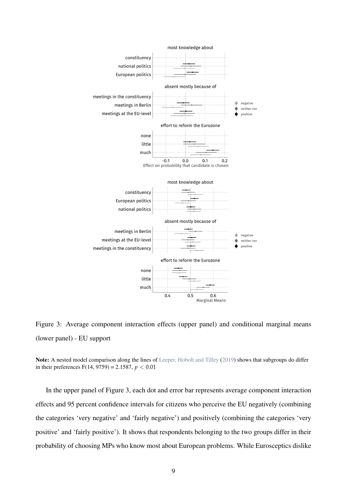

Figure 3: Average component interaction effects (upper panel) and conditional marginal means (lower panel) - EU support

Note: A nested model comparison along the lines of [Leeper, Hobolt and Tilley](#page-12-14) [\(2019\)](#page-12-14) shows that subgroups do differ in their preferences  $F(14, 9759) = 2.1587$ ,  $p < 0.01$ 

In the upper panel of Figure 3, each dot and error bar represents average component interaction effects and 95 percent confidence intervals for citizens who perceive the EU negatively (combining the categories 'very negative' and 'fairly negative') and positively (combining the categories 'very positive' and 'fairly positive'). It shows that respondents belonging to the two groups differ in their probability of choosing MPs who know most about European problems. While Eurosceptics dislike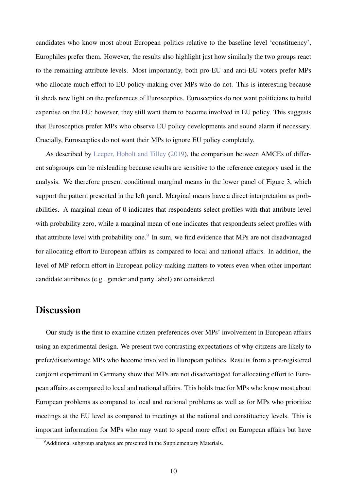candidates who know most about European politics relative to the baseline level 'constituency', Europhiles prefer them. However, the results also highlight just how similarly the two groups react to the remaining attribute levels. Most importantly, both pro-EU and anti-EU voters prefer MPs who allocate much effort to EU policy-making over MPs who do not. This is interesting because it sheds new light on the preferences of Eurosceptics. Eurosceptics do not want politicians to build expertise on the EU; however, they still want them to become involved in EU policy. This suggests that Eurosceptics prefer MPs who observe EU policy developments and sound alarm if necessary. Crucially, Eurosceptics do not want their MPs to ignore EU policy completely.

As described by [Leeper, Hobolt and Tilley](#page-12-14) [\(2019\)](#page-12-14), the comparison between AMCEs of different subgroups can be misleading because results are sensitive to the reference category used in the analysis. We therefore present conditional marginal means in the lower panel of Figure 3, which support the pattern presented in the left panel. Marginal means have a direct interpretation as probabilities. A marginal mean of 0 indicates that respondents select profiles with that attribute level with probability zero, while a marginal mean of one indicates that respondents select profiles with that attribute level with probability one. $9\,$  $9\,$  In sum, we find evidence that MPs are not disadvantaged for allocating effort to European affairs as compared to local and national affairs. In addition, the level of MP reform effort in European policy-making matters to voters even when other important candidate attributes (e.g., gender and party label) are considered.

### **Discussion**

Our study is the first to examine citizen preferences over MPs' involvement in European affairs using an experimental design. We present two contrasting expectations of why citizens are likely to prefer/disadvantage MPs who become involved in European politics. Results from a pre-registered conjoint experiment in Germany show that MPs are not disadvantaged for allocating effort to European affairs as compared to local and national affairs. This holds true for MPs who know most about European problems as compared to local and national problems as well as for MPs who prioritize meetings at the EU level as compared to meetings at the national and constituency levels. This is important information for MPs who may want to spend more effort on European affairs but have

<span id="page-10-0"></span><sup>&</sup>lt;sup>9</sup>Additional subgroup analyses are presented in the Supplementary Materials.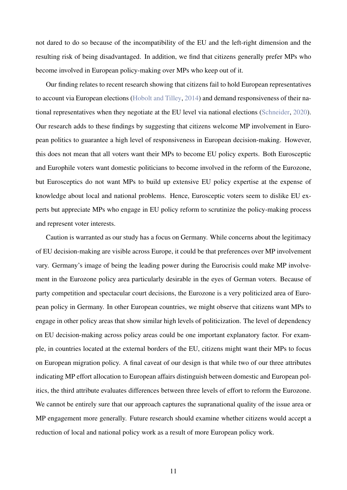not dared to do so because of the incompatibility of the EU and the left-right dimension and the resulting risk of being disadvantaged. In addition, we find that citizens generally prefer MPs who become involved in European policy-making over MPs who keep out of it.

Our finding relates to recent research showing that citizens fail to hold European representatives to account via European elections [\(Hobolt and Tilley,](#page-12-7) [2014\)](#page-12-7) and demand responsiveness of their national representatives when they negotiate at the EU level via national elections [\(Schneider,](#page-13-8) [2020\)](#page-13-8). Our research adds to these findings by suggesting that citizens welcome MP involvement in European politics to guarantee a high level of responsiveness in European decision-making. However, this does not mean that all voters want their MPs to become EU policy experts. Both Eurosceptic and Europhile voters want domestic politicians to become involved in the reform of the Eurozone, but Eurosceptics do not want MPs to build up extensive EU policy expertise at the expense of knowledge about local and national problems. Hence, Eurosceptic voters seem to dislike EU experts but appreciate MPs who engage in EU policy reform to scrutinize the policy-making process and represent voter interests.

Caution is warranted as our study has a focus on Germany. While concerns about the legitimacy of EU decision-making are visible across Europe, it could be that preferences over MP involvement vary. Germany's image of being the leading power during the Eurocrisis could make MP involvement in the Eurozone policy area particularly desirable in the eyes of German voters. Because of party competition and spectacular court decisions, the Eurozone is a very politicized area of European policy in Germany. In other European countries, we might observe that citizens want MPs to engage in other policy areas that show similar high levels of politicization. The level of dependency on EU decision-making across policy areas could be one important explanatory factor. For example, in countries located at the external borders of the EU, citizens might want their MPs to focus on European migration policy. A final caveat of our design is that while two of our three attributes indicating MP effort allocation to European affairs distinguish between domestic and European politics, the third attribute evaluates differences between three levels of effort to reform the Eurozone. We cannot be entirely sure that our approach captures the supranational quality of the issue area or MP engagement more generally. Future research should examine whether citizens would accept a reduction of local and national policy work as a result of more European policy work.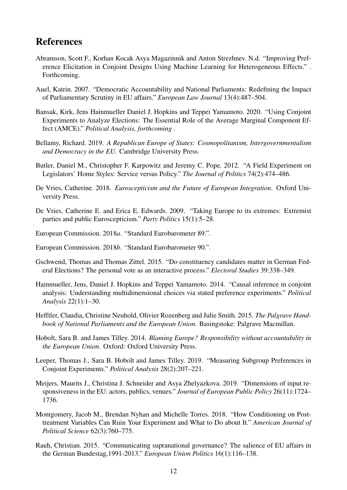## References

- <span id="page-12-16"></span>Abramson, Scott F., Korhan Kocak Asya Magazinnik and Anton Strezhnev. N.d. "Improving Preference Elicitation in Conjoint Designs Using Machine Learning for Heterogeneous Effects." . Forthcoming.
- <span id="page-12-3"></span>Auel, Katrin. 2007. "Democratic Accountability and National Parliaments: Redefining the Impact of Parliamentary Scrutiny in EU affairs." *European Law Journal* 13(4):487–504.
- <span id="page-12-15"></span>Bansak, Kirk, Jens Hainmueller Daniel J. Hopkins and Teppei Yamamoto. 2020. "Using Conjoint Experiments to Analyze Elections: The Essential Role of the Average Marginal Component Effect (AMCE)." *Political Analysis, forthcoming* .
- <span id="page-12-6"></span>Bellamy, Richard. 2019. *A Republican Europe of States: Cosmopolitanism, Intergovernmentalism and Democracy in the EU*. Cambridge University Press.
- <span id="page-12-5"></span>Butler, Daniel M., Christopher F. Karpowitz and Jeremy C. Pope. 2012. "A Field Experiment on Legislators' Home Styles: Service versus Policy." *The Journal of Politics* 74(2):474–486.
- <span id="page-12-0"></span>De Vries, Catherine. 2018. *Euroscepticism and the Future of European Integration*. Oxford University Press.
- <span id="page-12-1"></span>De Vries, Catherine E. and Erica E. Edwards. 2009. "Taking Europe to its extremes: Extremist parties and public Euroscepticism." *Party Politics* 15(1):5–28.
- <span id="page-12-8"></span>European Commission. 2018*a*. "Standard Eurobarometer 89.".
- <span id="page-12-9"></span>European Commission. 2018*b*. "Standard Eurobarometer 90.".
- <span id="page-12-12"></span>Gschwend, Thomas and Thomas Zittel. 2015. "Do constituency candidates matter in German Federal Elections? The personal vote as an interactive process." *Electoral Studies* 39:338–349.
- <span id="page-12-11"></span>Hainmueller, Jens, Daniel J. Hopkins and Teppei Yamamoto. 2014. "Causal inference in conjoint analysis: Understanding multidimensional choices via stated preference experiments." *Political Analysis* 22(1):1–30.
- <span id="page-12-2"></span>Hefftler, Claudia, Christine Neuhold, Olivier Rozenberg and Julie Smith. 2015. *The Palgrave Handbook of National Parliaments and the European Union*. Basingstoke: Palgrave Macmillan.
- <span id="page-12-7"></span>Hobolt, Sara B. and James Tilley. 2014. *Blaming Europe? Responsibility without accountability in the European Union*. Oxford: Oxford University Press.
- <span id="page-12-14"></span>Leeper, Thomas J., Sara B. Hobolt and James Tilley. 2019. "Measuring Subgroup Preferences in Conjoint Experiments." *Political Analysis* 28(2):207–221.
- <span id="page-12-10"></span>Meijers, Maurits J., Christina J. Schneider and Asya Zhelyazkova. 2019. "Dimensions of input responsiveness in the EU: actors, publics, venues." *Journal of European Public Policy* 26(11):1724– 1736.
- <span id="page-12-13"></span>Montgomery, Jacob M., Brendan Nyhan and Michelle Torres. 2018. "How Conditioning on Posttreatment Variables Can Ruin Your Experiment and What to Do about It." *American Journal of Political Science* 62(3):760–775.
- <span id="page-12-4"></span>Rauh, Christian. 2015. "Communicating supranational governance? The salience of EU affairs in the German Bundestag,1991-2013." *European Union Politics* 16(1):116–138.